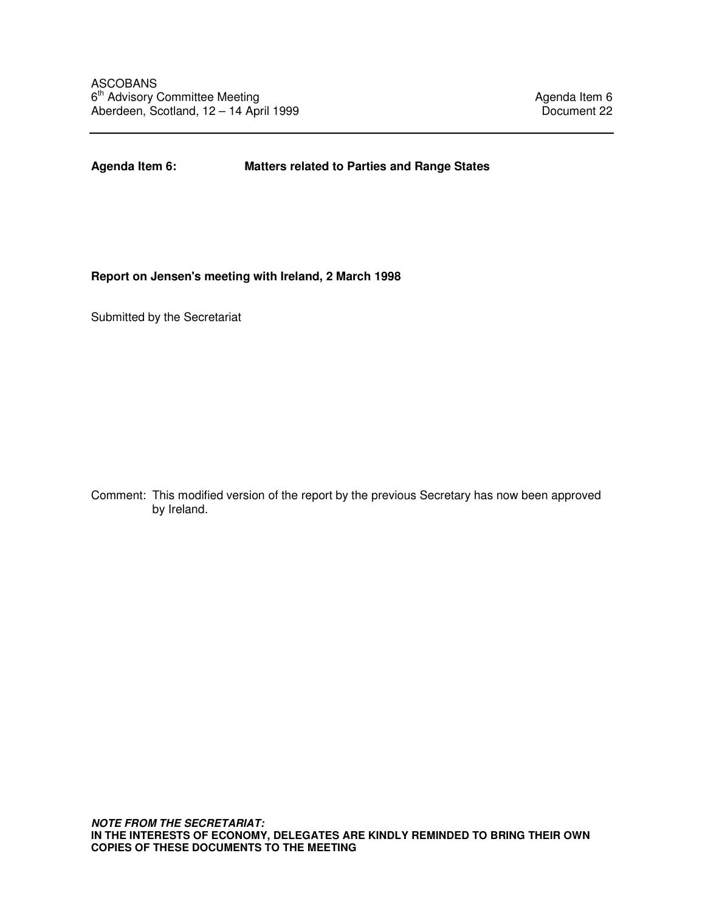**Agenda Item 6: Matters related to Parties and Range States** 

## **Report on Jensen's meeting with Ireland, 2 March 1998**

Submitted by the Secretariat

Comment: This modified version of the report by the previous Secretary has now been approved by Ireland.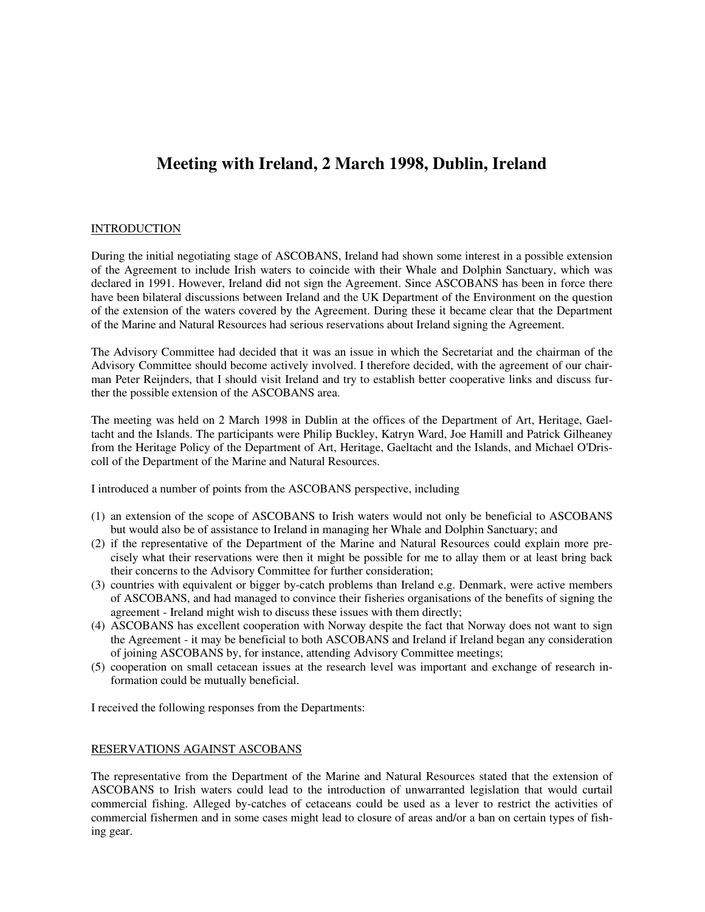# **Meeting with Ireland, 2 March 1998, Dublin, Ireland**

## **INTRODUCTION**

During the initial negotiating stage of ASCOBANS, Ireland had shown some interest in a possible extension of the Agreement to include Irish waters to coincide with their Whale and Dolphin Sanctuary, which was declared in 1991. However, Ireland did not sign the Agreement. Since ASCOBANS has been in force there have been bilateral discussions between Ireland and the UK Department of the Environment on the question of the extension of the waters covered by the Agreement. During these it became clear that the Department of the Marine and Natural Resources had serious reservations about Ireland signing the Agreement.

The Advisory Committee had decided that it was an issue in which the Secretariat and the chairman of the Advisory Committee should become actively involved. I therefore decided, with the agreement of our chairman Peter Reijnders, that I should visit Ireland and try to establish better cooperative links and discuss further the possible extension of the ASCOBANS area.

The meeting was held on 2 March 1998 in Dublin at the offices of the Department of Art, Heritage, Gaeltacht and the Islands. The participants were Philip Buckley, Katryn Ward, Joe Hamill and Patrick Gilheaney from the Heritage Policy of the Department of Art, Heritage, Gaeltacht and the Islands, and Michael O'Driscoll of the Department of the Marine and Natural Resources.

I introduced a number of points from the ASCOBANS perspective, including

- (1) an extension of the scope of ASCOBANS to Irish waters would not only be beneficial to ASCOBANS but would also be of assistance to Ireland in managing her Whale and Dolphin Sanctuary; and
- (2) if the representative of the Department of the Marine and Natural Resources could explain more precisely what their reservations were then it might be possible for me to allay them or at least bring back their concerns to the Advisory Committee for further consideration;
- (3) countries with equivalent or bigger by-catch problems than Ireland e.g. Denmark, were active members of ASCOBANS, and had managed to convince their fisheries organisations of the benefits of signing the agreement - Ireland might wish to discuss these issues with them directly;
- (4) ASCOBANS has excellent cooperation with Norway despite the fact that Norway does not want to sign the Agreement - it may be beneficial to both ASCOBANS and Ireland if Ireland began any consideration of joining ASCOBANS by, for instance, attending Advisory Committee meetings;
- (5) cooperation on small cetacean issues at the research level was important and exchange of research information could be mutually beneficial.

I received the following responses from the Departments:

## RESERVATIONS AGAINST ASCOBANS

The representative from the Department of the Marine and Natural Resources stated that the extension of ASCOBANS to Irish waters could lead to the introduction of unwarranted legislation that would curtail commercial fishing. Alleged by-catches of cetaceans could be used as a lever to restrict the activities of commercial fishermen and in some cases might lead to closure of areas and/or a ban on certain types of fishing gear.